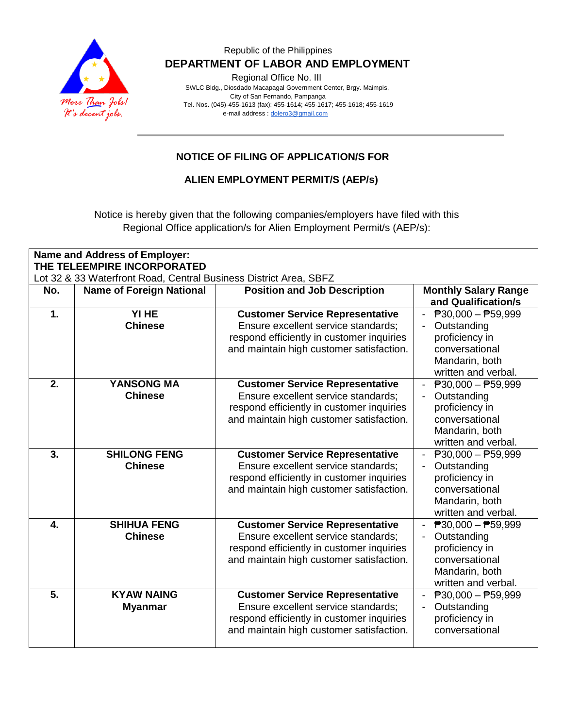

## Republic of the Philippines  **DEPARTMENT OF LABOR AND EMPLOYMENT**

Regional Office No. III

 SWLC Bldg., Diosdado Macapagal Government Center, Brgy. Maimpis, City of San Fernando, Pampanga Tel. Nos. (045)-455-1613 (fax): 455-1614; 455-1617; 455-1618; 455-1619 e-mail address [: dolero3@gmail.com](mailto:dolero3@gmail.com)

# **NOTICE OF FILING OF APPLICATION/S FOR**

**ALIEN EMPLOYMENT PERMIT/S (AEP/s)**

Notice is hereby given that the following companies/employers have filed with this Regional Office application/s for Alien Employment Permit/s (AEP/s):

| Name and Address of Employer:<br>THE TELEEMPIRE INCORPORATED      |                                       |                                                                                                                                                                        |                                                                                                                                         |  |  |  |
|-------------------------------------------------------------------|---------------------------------------|------------------------------------------------------------------------------------------------------------------------------------------------------------------------|-----------------------------------------------------------------------------------------------------------------------------------------|--|--|--|
| Lot 32 & 33 Waterfront Road, Central Business District Area, SBFZ |                                       |                                                                                                                                                                        |                                                                                                                                         |  |  |  |
| No.                                                               | <b>Name of Foreign National</b>       | <b>Position and Job Description</b>                                                                                                                                    | <b>Monthly Salary Range</b><br>and Qualification/s                                                                                      |  |  |  |
| 1.                                                                | YI HE<br><b>Chinese</b>               | <b>Customer Service Representative</b><br>Ensure excellent service standards;<br>respond efficiently in customer inquiries<br>and maintain high customer satisfaction. | - $P30,000 - P59,999$<br>Outstanding<br>proficiency in<br>conversational<br>Mandarin, both<br>written and verbal.                       |  |  |  |
| 2.                                                                | <b>YANSONG MA</b><br><b>Chinese</b>   | <b>Customer Service Representative</b><br>Ensure excellent service standards;<br>respond efficiently in customer inquiries<br>and maintain high customer satisfaction. | $\overline{P}30,000 - \overline{P}59,999$<br>Outstanding<br>proficiency in<br>conversational<br>Mandarin, both<br>written and verbal.   |  |  |  |
| 3.                                                                | <b>SHILONG FENG</b><br><b>Chinese</b> | <b>Customer Service Representative</b><br>Ensure excellent service standards;<br>respond efficiently in customer inquiries<br>and maintain high customer satisfaction. | - $\overline{P}30,000 - \overline{P}59,999$<br>Outstanding<br>proficiency in<br>conversational<br>Mandarin, both<br>written and verbal. |  |  |  |
| 4.                                                                | <b>SHIHUA FENG</b><br><b>Chinese</b>  | <b>Customer Service Representative</b><br>Ensure excellent service standards;<br>respond efficiently in customer inquiries<br>and maintain high customer satisfaction. | $\overline{P}30,000 - \overline{P}59,999$<br>Outstanding<br>proficiency in<br>conversational<br>Mandarin, both<br>written and verbal.   |  |  |  |
| 5.                                                                | <b>KYAW NAING</b><br><b>Myanmar</b>   | <b>Customer Service Representative</b><br>Ensure excellent service standards;<br>respond efficiently in customer inquiries<br>and maintain high customer satisfaction. | $\overline{P}30,000 - \overline{P}59,999$<br>Outstanding<br>$\blacksquare$<br>proficiency in<br>conversational                          |  |  |  |